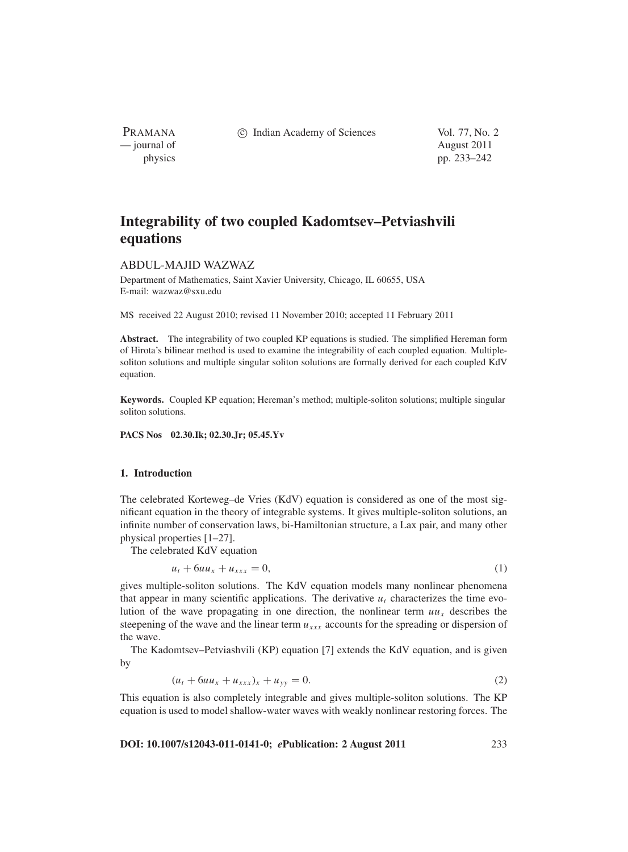PRAMANA — journal of August 2011

c Indian Academy of Sciences Vol. 77, No. 2

physics pp. 233–242

# **Integrability of two coupled Kadomtsev–Petviashvili equations**

# ABDUL-MAJID WAZWAZ

Department of Mathematics, Saint Xavier University, Chicago, IL 60655, USA E-mail: wazwaz@sxu.edu

MS received 22 August 2010; revised 11 November 2010; accepted 11 February 2011

**Abstract.** The integrability of two coupled KP equations is studied. The simplified Hereman form of Hirota's bilinear method is used to examine the integrability of each coupled equation. Multiplesoliton solutions and multiple singular soliton solutions are formally derived for each coupled KdV equation.

**Keywords.** Coupled KP equation; Hereman's method; multiple-soliton solutions; multiple singular soliton solutions.

**PACS Nos 02.30.Ik; 02.30.Jr; 05.45.Yv**

### **1. Introduction**

The celebrated Korteweg–de Vries (KdV) equation is considered as one of the most significant equation in the theory of integrable systems. It gives multiple-soliton solutions, an infinite number of conservation laws, bi-Hamiltonian structure, a Lax pair, and many other physical properties [1–27].

The celebrated KdV equation

$$
u_t + 6uu_x + u_{xxx} = 0,\t\t(1)
$$

gives multiple-soliton solutions. The KdV equation models many nonlinear phenomena that appear in many scientific applications. The derivative  $u_t$  characterizes the time evolution of the wave propagating in one direction, the nonlinear term  $uu_x$  describes the steepening of the wave and the linear term *uxxx* accounts for the spreading or dispersion of the wave.

The Kadomtsev–Petviashvili (KP) equation [7] extends the KdV equation, and is given by

$$
(u_t + 6uu_x + u_{xxx})_x + u_{yy} = 0.
$$
 (2)

This equation is also completely integrable and gives multiple-soliton solutions. The KP equation is used to model shallow-water waves with weakly nonlinear restoring forces. The

**DOI: 10.1007/s12043-011-0141-0;** *e***Publication: 2 August 2011** 233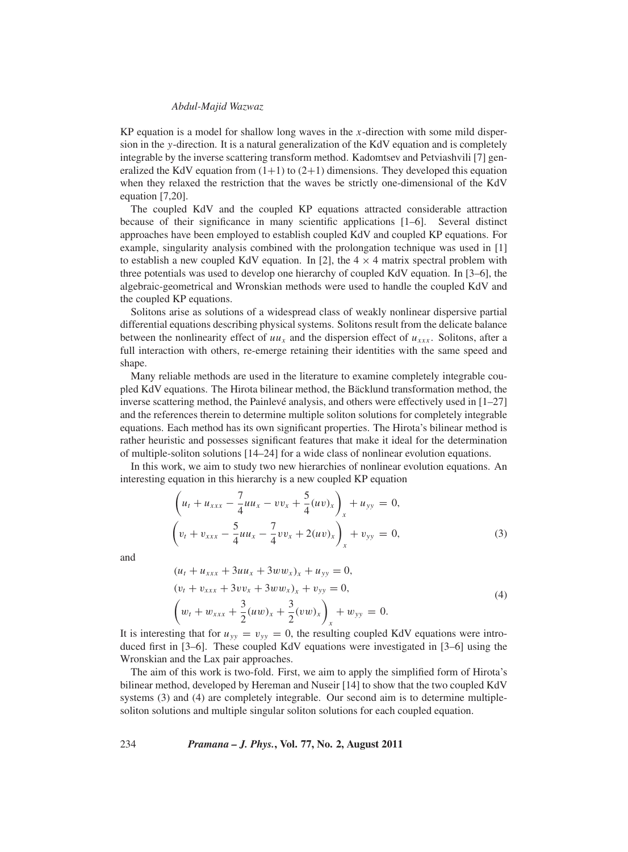KP equation is a model for shallow long waves in the *x*-direction with some mild dispersion in the *y*-direction. It is a natural generalization of the KdV equation and is completely integrable by the inverse scattering transform method. Kadomtsev and Petviashvili [7] generalized the KdV equation from  $(1+1)$  to  $(2+1)$  dimensions. They developed this equation when they relaxed the restriction that the waves be strictly one-dimensional of the KdV equation [7,20].

The coupled KdV and the coupled KP equations attracted considerable attraction because of their significance in many scientific applications [1–6]. Several distinct approaches have been employed to establish coupled KdV and coupled KP equations. For example, singularity analysis combined with the prolongation technique was used in [1] to establish a new coupled KdV equation. In [2], the  $4 \times 4$  matrix spectral problem with three potentials was used to develop one hierarchy of coupled KdV equation. In [3–6], the algebraic-geometrical and Wronskian methods were used to handle the coupled KdV and the coupled KP equations.

Solitons arise as solutions of a widespread class of weakly nonlinear dispersive partial differential equations describing physical systems. Solitons result from the delicate balance between the nonlinearity effect of  $uu_x$  and the dispersion effect of  $u_{xxx}$ . Solitons, after a full interaction with others, re-emerge retaining their identities with the same speed and shape.

Many reliable methods are used in the literature to examine completely integrable coupled KdV equations. The Hirota bilinear method, the Bäcklund transformation method, the inverse scattering method, the Painlevé analysis, and others were effectively used in [1–27] and the references therein to determine multiple soliton solutions for completely integrable equations. Each method has its own significant properties. The Hirota's bilinear method is rather heuristic and possesses significant features that make it ideal for the determination of multiple-soliton solutions [14–24] for a wide class of nonlinear evolution equations.

In this work, we aim to study two new hierarchies of nonlinear evolution equations. An interesting equation in this hierarchy is a new coupled KP equation

$$
\left(u_t + u_{xxx} - \frac{7}{4}uu_x - vv_x + \frac{5}{4}(uv)_x\right)_x + u_{yy} = 0,
$$
\n
$$
\left(v_t + v_{xxx} - \frac{5}{4}uu_x - \frac{7}{4}vv_x + 2(uv)_x\right)_x + v_{yy} = 0,
$$
\n(3)

and

$$
(u_t + u_{xxx} + 3uu_x + 3ww_x)_x + u_{yy} = 0,
$$
  
\n
$$
(v_t + v_{xxx} + 3vv_x + 3ww_x)_x + v_{yy} = 0,
$$
  
\n
$$
\left(w_t + w_{xxx} + \frac{3}{2}(uw)_x + \frac{3}{2}(vw)_x\right)_x + w_{yy} = 0.
$$
\n(4)

It is interesting that for  $u_{yy} = v_{yy} = 0$ , the resulting coupled KdV equations were introduced first in [3–6]. These coupled KdV equations were investigated in [3–6] using the Wronskian and the Lax pair approaches.

The aim of this work is two-fold. First, we aim to apply the simplified form of Hirota's bilinear method, developed by Hereman and Nuseir [14] to show that the two coupled KdV systems (3) and (4) are completely integrable. Our second aim is to determine multiplesoliton solutions and multiple singular soliton solutions for each coupled equation.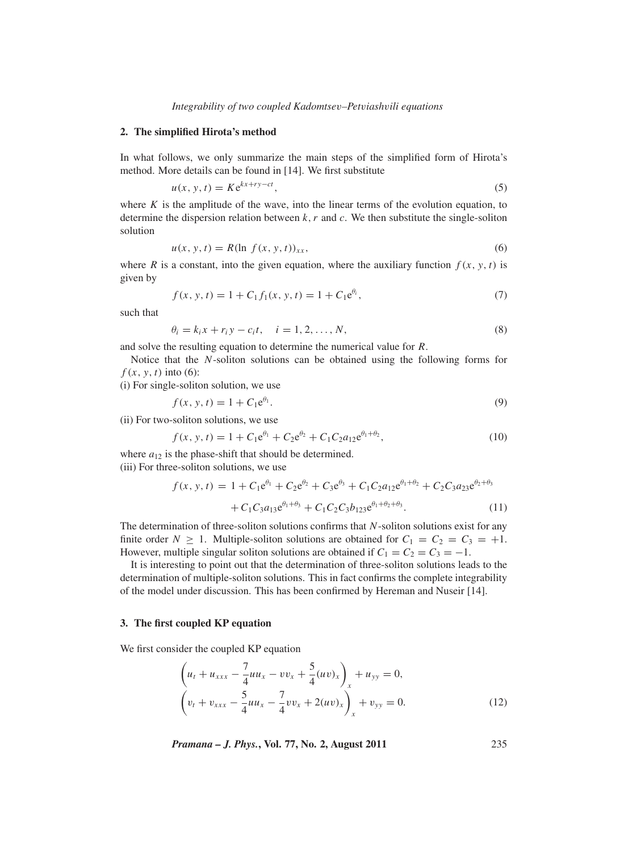*Integrability of two coupled Kadomtse*v*–Pet*v*iash*v*ili equations*

#### **2. The simplified Hirota's method**

In what follows, we only summarize the main steps of the simplified form of Hirota's method. More details can be found in [14]. We first substitute

$$
u(x, y, t) = Ke^{kx + ry - ct},\tag{5}
$$

where  $K$  is the amplitude of the wave, into the linear terms of the evolution equation, to determine the dispersion relation between *k*,*r* and *c*. We then substitute the single-soliton solution

$$
u(x, y, t) = R(\ln f(x, y, t))_{xx},
$$
\n(6)

where *R* is a constant, into the given equation, where the auxiliary function  $f(x, y, t)$  is given by

$$
f(x, y, t) = 1 + C_1 f_1(x, y, t) = 1 + C_1 e^{\theta_i},
$$
\n(7)

such that

$$
\theta_i = k_i x + r_i y - c_i t, \quad i = 1, 2, \dots, N,
$$
\n
$$
(8)
$$

and solve the resulting equation to determine the numerical value for *R*.

Notice that the *N*-soliton solutions can be obtained using the following forms for  $f(x, y, t)$  into (6):

(i) For single-soliton solution, we use

$$
f(x, y, t) = 1 + C_1 e^{\theta_1}.
$$
 (9)

(ii) For two-soliton solutions, we use

$$
f(x, y, t) = 1 + C_1 e^{\theta_1} + C_2 e^{\theta_2} + C_1 C_2 a_{12} e^{\theta_1 + \theta_2},
$$
\n(10)

where  $a_{12}$  is the phase-shift that should be determined.

(iii) For three-soliton solutions, we use

$$
f(x, y, t) = 1 + C_1 e^{\theta_1} + C_2 e^{\theta_2} + C_3 e^{\theta_3} + C_1 C_2 a_{12} e^{\theta_1 + \theta_2} + C_2 C_3 a_{23} e^{\theta_2 + \theta_3} + C_1 C_3 a_{13} e^{\theta_1 + \theta_3} + C_1 C_2 C_3 b_{123} e^{\theta_1 + \theta_2 + \theta_3}.
$$
 (11)

The determination of three-soliton solutions confirms that *N*-soliton solutions exist for any finite order  $N \ge 1$ . Multiple-soliton solutions are obtained for  $C_1 = C_2 = C_3 = +1$ . However, multiple singular soliton solutions are obtained if  $C_1 = C_2 = C_3 = -1$ .

It is interesting to point out that the determination of three-soliton solutions leads to the determination of multiple-soliton solutions. This in fact confirms the complete integrability of the model under discussion. This has been confirmed by Hereman and Nuseir [14].

#### **3. The first coupled KP equation**

We first consider the coupled KP equation

$$
\left(u_t + u_{xxx} - \frac{7}{4}uu_x - vv_x + \frac{5}{4}(uv)_x\right)_x + u_{yy} = 0,
$$
\n
$$
\left(v_t + v_{xxx} - \frac{5}{4}uu_x - \frac{7}{4}vv_x + 2(uv)_x\right)_x + v_{yy} = 0.
$$
\n(12)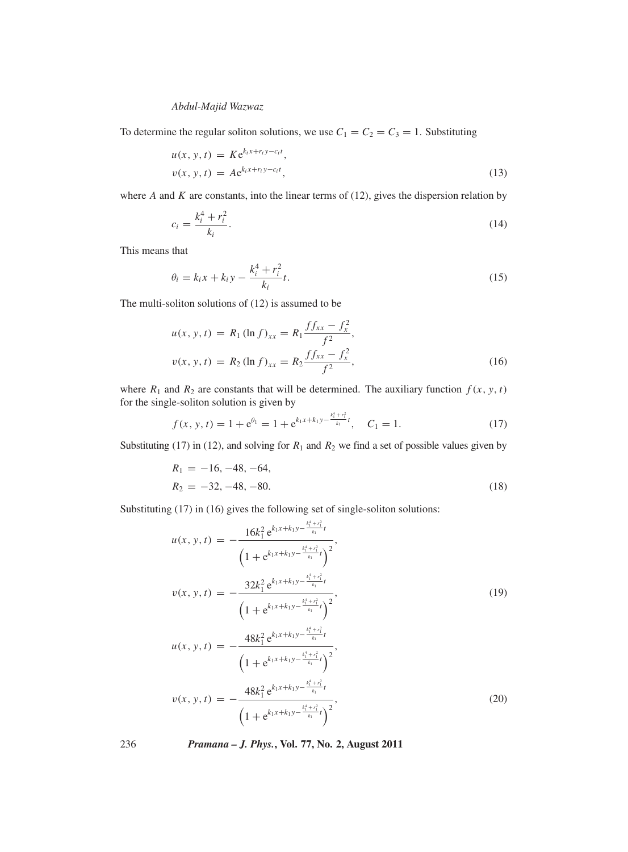To determine the regular soliton solutions, we use  $C_1 = C_2 = C_3 = 1$ . Substituting

$$
u(x, y, t) = Ke^{k_i x + r_i y - c_i t},
$$
  
\n
$$
v(x, y, t) = Ae^{k_i x + r_i y - c_i t},
$$
\n(13)

where *A* and *K* are constants, into the linear terms of (12), gives the dispersion relation by

$$
c_i = \frac{k_i^4 + r_i^2}{k_i}.
$$
\n(14)

This means that

$$
\theta_i = k_i x + k_i y - \frac{k_i^4 + r_i^2}{k_i} t.
$$
\n(15)

The multi-soliton solutions of (12) is assumed to be

$$
u(x, y, t) = R_1 (\ln f)_{xx} = R_1 \frac{f f_{xx} - f_x^2}{f^2},
$$
  

$$
v(x, y, t) = R_2 (\ln f)_{xx} = R_2 \frac{f f_{xx} - f_x^2}{f^2},
$$
 (16)

where  $R_1$  and  $R_2$  are constants that will be determined. The auxiliary function  $f(x, y, t)$ for the single-soliton solution is given by

$$
f(x, y, t) = 1 + e^{\theta_1} = 1 + e^{k_1 x + k_1 y - \frac{k_1^4 + r_1^2}{k_1} t}, \quad C_1 = 1.
$$
 (17)

Substituting (17) in (12), and solving for  $R_1$  and  $R_2$  we find a set of possible values given by

$$
R_1 = -16, -48, -64,
$$
  
\n
$$
R_2 = -32, -48, -80.
$$
\n(18)

Substituting (17) in (16) gives the following set of single-soliton solutions:

$$
u(x, y, t) = -\frac{16k_1^2 e^{k_1x + k_1y - \frac{k_1^4 + r_1^2}{k_1}t}}{\left(1 + e^{k_1x + k_1y - \frac{k_1^4 + r_1^2}{k_1}t}\right)^2},
$$
  
\n
$$
v(x, y, t) = -\frac{32k_1^2 e^{k_1x + k_1y - \frac{k_1^4 + r_1^2}{k_1}t}}{\left(1 + e^{k_1x + k_1y - \frac{k_1^4 + r_1^2}{k_1}t}\right)^2},
$$
  
\n
$$
u(x, y, t) = -\frac{48k_1^2 e^{k_1x + k_1y - \frac{k_1^4 + r_1^2}{k_1}t}}{\left(1 + e^{k_1x + k_1y - \frac{k_1^4 + r_1^2}{k_1}t}\right)^2},
$$
  
\n
$$
v(x, y, t) = -\frac{48k_1^2 e^{k_1x + k_1y - \frac{k_1^4 + r_1^2}{k_1}t}}{\left(1 + e^{k_1x + k_1y - \frac{k_1^4 + r_1^2}{k_1}t}\right)^2},
$$
\n(20)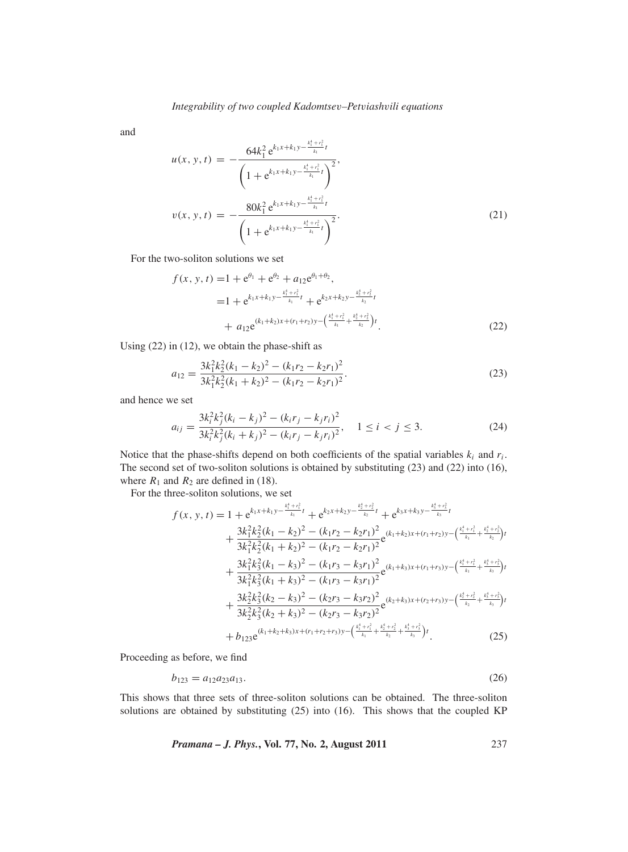and

$$
u(x, y, t) = -\frac{64k_1^2 e^{k_1x + k_1y - \frac{k_1^4 + r_1^2}{k_1}t}}{\left(1 + e^{k_1x + k_1y - \frac{k_1^4 + r_1^2}{k_1}t}\right)^2},
$$
  

$$
v(x, y, t) = -\frac{80k_1^2 e^{k_1x + k_1y - \frac{k_1^4 + r_1^2}{k_1}t}}{\left(1 + e^{k_1x + k_1y - \frac{k_1^4 + r_1^2}{k_1}t}\right)^2}.
$$
 (21)

For the two-soliton solutions we set

$$
f(x, y, t) = 1 + e^{\theta_1} + e^{\theta_2} + a_{12}e^{\theta_1 + \theta_2},
$$
  
\n
$$
= 1 + e^{k_1x + k_1y - \frac{k_1^4 + r_1^2}{k_1}t} + e^{k_2x + k_2y - \frac{k_2^4 + r_2^2}{k_2}t}
$$
  
\n
$$
+ a_{12}e^{(k_1 + k_2)x + (r_1 + r_2)y - (\frac{k_1^4 + r_1^2}{k_1} + \frac{k_2^4 + r_2^2}{k_2})t}.
$$
\n(22)

Using (22) in (12), we obtain the phase-shift as

$$
a_{12} = \frac{3k_1^2k_2^2(k_1 - k_2)^2 - (k_1r_2 - k_2r_1)^2}{3k_1^2k_2^2(k_1 + k_2)^2 - (k_1r_2 - k_2r_1)^2}.
$$
\n(23)

and hence we set

$$
a_{ij} = \frac{3k_i^2k_j^2(k_i - k_j)^2 - (k_ir_j - k_jr_i)^2}{3k_i^2k_j^2(k_i + k_j)^2 - (k_ir_j - k_jr_i)^2}, \quad 1 \le i < j \le 3. \tag{24}
$$

Notice that the phase-shifts depend on both coefficients of the spatial variables  $k_i$  and  $r_i$ . The second set of two-soliton solutions is obtained by substituting (23) and (22) into (16), where  $R_1$  and  $R_2$  are defined in (18).

For the three-soliton solutions, we set

$$
f(x, y, t) = 1 + e^{k_1x + k_1y - \frac{k_1^4 + r_1^2}{k_1}t} + e^{k_2x + k_2y - \frac{k_2^4 + r_2^2}{k_2}t} + e^{k_3x + k_3y - \frac{k_1^4 + r_3^2}{k_3}t} + \frac{3k_1^2k_2^2(k_1 - k_2)^2 - (k_1r_2 - k_2r_1)^2}{3k_1^2k_2^2(k_1 + k_2)^2 - (k_1r_2 - k_2r_1)^2}e^{(k_1 + k_2)x + (r_1 + r_2)y - (\frac{k_1^4 + r_1^2}{k_1} + \frac{k_2^4 + r_2^2}{k_2})t} + \frac{3k_1^2k_3^2(k_1 - k_3)^2 - (k_1r_3 - k_3r_1)^2}{3k_1^2k_3^2(k_1 + k_3)^2 - (k_1r_3 - k_3r_1)^2}e^{(k_1 + k_3)x + (r_1 + r_3)y - (\frac{k_1^4 + r_1^2}{k_1} + \frac{k_3^4 + r_3^2}{k_3})t} + \frac{3k_2^2k_3^2(k_2 - k_3)^2 - (k_2r_3 - k_3r_2)^2}{3k_2^2k_3^2(k_2 + k_3)^2 - (k_2r_3 - k_3r_2)^2}e^{(k_2 + k_3)x + (r_2 + r_3)y - (\frac{k_2^4 + r_2^2}{k_2} + \frac{k_3^4 + r_3^2}{k_3})t} + b_{123}e^{(k_1 + k_2 + k_3)x + (r_1 + r_2 + r_3)y - (\frac{k_1^4 + r_1^2}{k_1} + \frac{k_2^4 + r_2^2}{k_2} + \frac{k_3^4 + r_3^2}{k_3})t}
$$
(25)

Proceeding as before, we find

$$
b_{123} = a_{12}a_{23}a_{13}.\tag{26}
$$

This shows that three sets of three-soliton solutions can be obtained. The three-soliton solutions are obtained by substituting (25) into (16). This shows that the coupled KP

*Pramana – J. Phys.***, Vol. 77, No. 2, August 2011** 237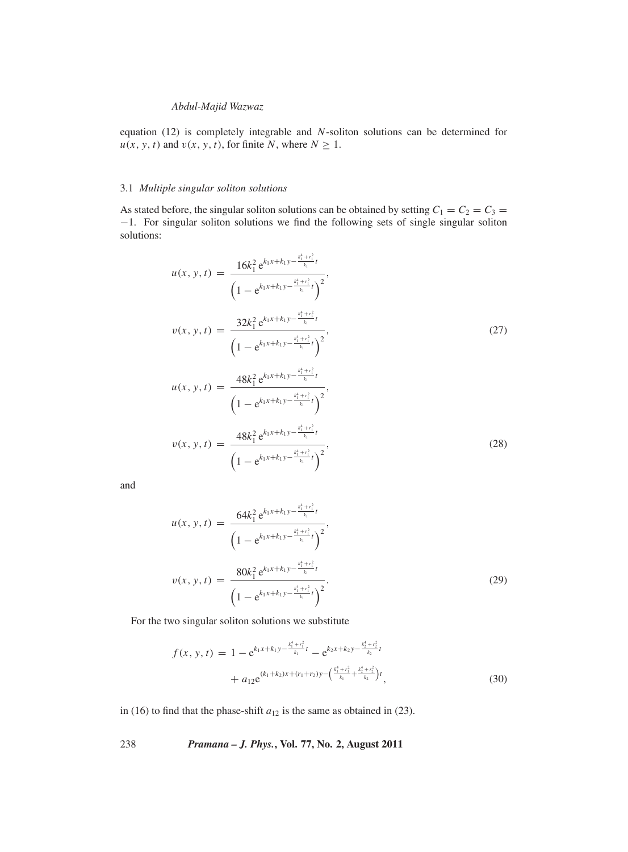equation (12) is completely integrable and *N*-soliton solutions can be determined for  $u(x, y, t)$  and  $v(x, y, t)$ , for finite *N*, where  $N \geq 1$ .

# 3.1 *Multiple singular soliton solutions*

As stated before, the singular soliton solutions can be obtained by setting  $C_1 = C_2 = C_3 =$ −1. For singular soliton solutions we find the following sets of single singular soliton solutions:

$$
u(x, y, t) = \frac{16k_1^2 e^{k_1x + k_1y - \frac{k_1^4 + r_1^2}{k_1}t}}{\left(1 - e^{k_1x + k_1y - \frac{k_1^4 + r_1^2}{k_1}t}\right)^2},
$$
  

$$
v(x, y, t) = \frac{32k_1^2 e^{k_1x + k_1y - \frac{k_1^4 + r_1^2}{k_1}t}}{\left(1 - e^{k_1x + k_1y - \frac{k_1^4 + r_1^2}{k_1}t}\right)^2},
$$
  

$$
u(x, y, t) = \frac{48k_1^2 e^{k_1x + k_1y - \frac{k_1^4 + r_1^2}{k_1}t}}{\left(1 - e^{k_1x + k_1y - \frac{k_1^4 + r_1^2}{k_1}t}\right)^2},
$$
  
(27)

$$
v(x, y, t) = \frac{48k_1^2 e^{k_1 x + k_1 y - \frac{k_1^4 + r_1^2}{k_1}t}}{\left(1 - e^{k_1 x + k_1 y - \frac{k_1^4 + r_1^2}{k_1}t}\right)^2},
$$
\n(28)

and

$$
u(x, y, t) = \frac{64k_1^2 e^{k_1x + k_1y - \frac{k_1^4 + r_1^2}{k_1}t}}{\left(1 - e^{k_1x + k_1y - \frac{k_1^4 + r_1^2}{k_1}t}\right)^2},
$$
  

$$
v(x, y, t) = \frac{80k_1^2 e^{k_1x + k_1y - \frac{k_1^4 + r_1^2}{k_1}t}}{\left(1 - e^{k_1x + k_1y - \frac{k_1^4 + r_1^2}{k_1}t}\right)^2}.
$$
 (29)

For the two singular soliton solutions we substitute

$$
f(x, y, t) = 1 - e^{k_1 x + k_1 y - \frac{k_1^4 + r_1^2}{k_1}t} - e^{k_2 x + k_2 y - \frac{k_2^4 + r_2^2}{k_2}t} + a_{12} e^{(k_1 + k_2)x + (r_1 + r_2)y - (\frac{k_1^4 + r_1^2}{k_1} + \frac{k_2^4 + r_2^2}{k_2})t},
$$
\n(30)

in (16) to find that the phase-shift  $a_{12}$  is the same as obtained in (23).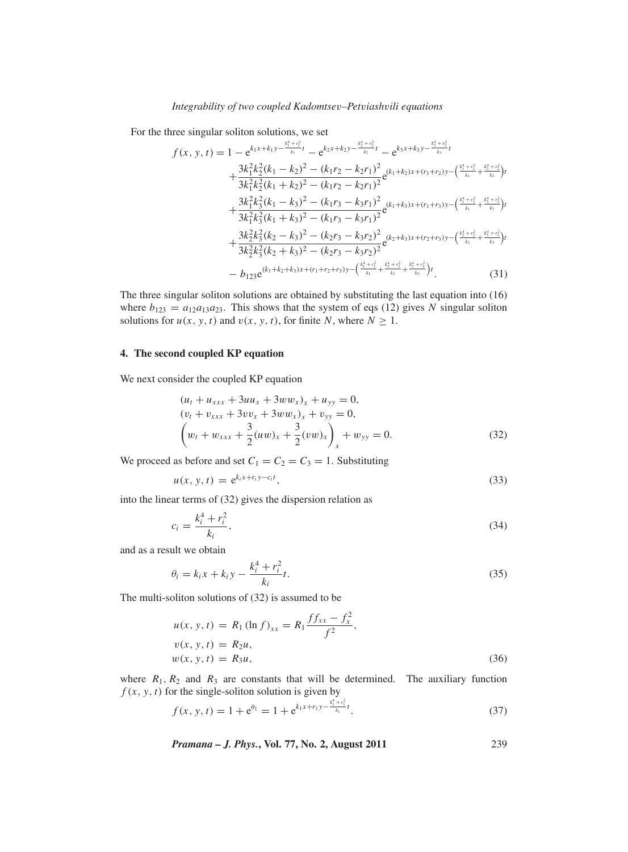For the three singular soliton solutions, we set

$$
f(x, y, t) = 1 - e^{k_1x + k_1y - \frac{k_1^4 + r_1^2}{k_1}t} - e^{k_2x + k_2y - \frac{k_2^4 + r_2^2}{k_2}t} - e^{k_3x + k_3y - \frac{k_3^4 + r_3^2}{k_3}t} + \frac{3k_1^2k_2^2(k_1 - k_2)^2 - (k_1r_2 - k_2r_1)^2}{3k_1^2k_2^2(k_1 + k_2)^2 - (k_1r_2 - k_2r_1)^2}e^{(k_1 + k_2)x + (r_1 + r_2)y - (\frac{k_1^4 + r_1^2}{k_1} + \frac{k_3^4 + r_2^2}{k_2})t} + \frac{3k_1^2k_3^2(k_1 - k_3)^2 - (k_1r_3 - k_3r_1)^2}{3k_1^2k_3^2(k_1 + k_3)^2 - (k_1r_3 - k_3r_1)^2}e^{(k_1 + k_3)x + (r_1 + r_3)y - (\frac{k_1^4 + r_1^2}{k_1} + \frac{k_3^4 + r_3^2}{k_3})t} + \frac{3k_2^2k_3^2(k_2 - k_3)^2 - (k_2r_3 - k_3r_2)^2}{3k_2^2k_3^2(k_2 + k_3)^2 - (k_2r_3 - k_3r_2)^2}e^{(k_2 + k_3)x + (r_2 + r_3)y - (\frac{k_3^4 + r_2^2}{k_2} + \frac{k_3^4 + r_3^2}{k_3})t} - b_{123}e^{(k_1 + k_2 + k_3)x + (r_1 + r_2 + r_3)y - (\frac{k_1^4 + r_1^2}{k_1} + \frac{k_2^4 + r_2^2}{k_2} + \frac{k_3^4 + r_3^2}{k_3})t}
$$
(31)

<sup>2</sup> <sup>+</sup> *<sup>r</sup>* <sup>2</sup>

<sup>3</sup> <sup>+</sup> *<sup>r</sup>* <sup>2</sup>

The three singular soliton solutions are obtained by substituting the last equation into (16) where  $b_{123} = a_{12}a_{13}a_{23}$ . This shows that the system of eqs (12) gives *N* singular soliton solutions for  $u(x, y, t)$  and  $v(x, y, t)$ , for finite *N*, where  $N \ge 1$ .

### **4. The second coupled KP equation**

We next consider the coupled KP equation

$$
(u_t + u_{xxx} + 3uu_x + 3ww_x)_x + u_{yy} = 0,
$$
  
\n
$$
(v_t + v_{xxx} + 3vv_x + 3ww_x)_x + v_{yy} = 0,
$$
  
\n
$$
(w_t + w_{xxx} + \frac{3}{2}(uw)_x + \frac{3}{2}(vw)_x)_x + w_{yy} = 0.
$$
\n(32)

We proceed as before and set  $C_1 = C_2 = C_3 = 1$ . Substituting

$$
u(x, y, t) = e^{k_i x + r_i y - c_i t}, \qquad (33)
$$

into the linear terms of (32) gives the dispersion relation as

$$
c_i = \frac{k_i^4 + r_i^2}{k_i},
$$
\n(34)

and as a result we obtain

$$
\theta_i = k_i x + k_i y - \frac{k_i^4 + r_i^2}{k_i} t.
$$
\n(35)

The multi-soliton solutions of (32) is assumed to be

$$
u(x, y, t) = R_1 (\ln f)_{xx} = R_1 \frac{f f_{xx} - f_x^2}{f^2},
$$
  
\n
$$
v(x, y, t) = R_2 u,
$$
  
\n
$$
w(x, y, t) = R_3 u,
$$
\n(36)

where  $R_1, R_2$  and  $R_3$  are constants that will be determined. The auxiliary function  $f(x, y, t)$  for the single-soliton solution is given by

$$
f(x, y, t) = 1 + e^{\theta_1} = 1 + e^{k_1 x + r_1 y - \frac{k_1^4 + r_1^2}{k_1} t}.
$$
 (37)

*Pramana – J. Phys.***, Vol. 77, No. 2, August 2011** 239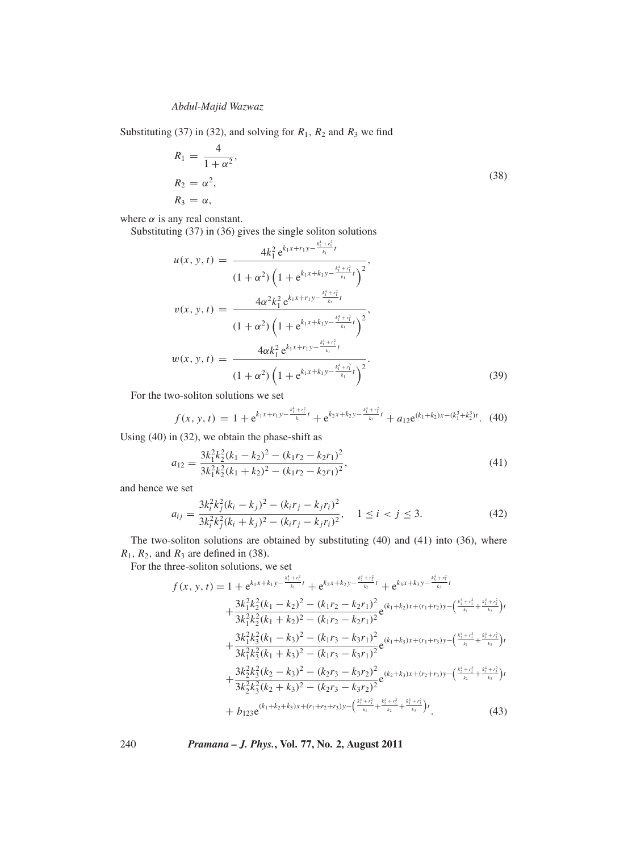Substituting (37) in (32), and solving for  $R_1$ ,  $R_2$  and  $R_3$  we find

$$
R_1 = \frac{4}{1 + \alpha^2},
$$
  
\n
$$
R_2 = \alpha^2,
$$
  
\n
$$
R_3 = \alpha,
$$
  
\n(38)

where  $\alpha$  is any real constant.

Substituting (37) in (36) gives the single soliton solutions

$$
u(x, y, t) = \frac{4k_1^2 e^{k_1x + r_1y - \frac{k_1^4 + r_1^2}{k_1}t}}{(1 + \alpha^2) \left(1 + e^{k_1x + k_1y - \frac{k_1^4 + r_1^2}{k_1}t}\right)^2},
$$
  

$$
v(x, y, t) = \frac{4\alpha^2 k_1^2 e^{k_1x + r_1y - \frac{k_1^4 + r_1^2}{k_1}t}}{(1 + \alpha^2) \left(1 + e^{k_1x + k_1y - \frac{k_1^4 + r_1^2}{k_1}t}\right)^2},
$$
  

$$
w(x, y, t) = \frac{4\alpha k_1^2 e^{k_1x + r_1y - \frac{k_1^4 + r_1^2}{k_1}t}}{(1 + \alpha^2) \left(1 + e^{k_1x + k_1y - \frac{k_1^4 + r_1^2}{k_1}t}\right)^2}.
$$
 (39)

For the two-soliton solutions we set

$$
f(x, y, t) = 1 + e^{k_1 x + r_1 y - \frac{k_1^4 + r_1^2}{k_1}t} + e^{k_2 x + k_2 y - \frac{k_1^4 + r_1^2}{k_1}t} + a_{12} e^{(k_1 + k_2)x - (k_1^3 + k_2^3)t}.
$$
 (40)

Using (40) in (32), we obtain the phase-shift as

$$
a_{12} = \frac{3k_1^2k_2^2(k_1 - k_2)^2 - (k_1r_2 - k_2r_1)^2}{3k_1^2k_2^2(k_1 + k_2)^2 - (k_1r_2 - k_2r_1)^2},\tag{41}
$$

and hence we set

$$
a_{ij} = \frac{3k_i^2k_j^2(k_i - k_j)^2 - (k_ir_j - k_jr_i)^2}{3k_i^2k_j^2(k_i + k_j)^2 - (k_ir_j - k_jr_i)^2}, \quad 1 \le i < j \le 3. \tag{42}
$$

The two-soliton solutions are obtained by substituting (40) and (41) into (36), where  $R_1$ ,  $R_2$ , and  $R_3$  are defined in (38).

For the three-soliton solutions, we set

$$
f(x, y, t) = 1 + e^{k_1x + k_1y - \frac{k_1^4 + r_1^2}{k_1}t} + e^{k_2x + k_2y - \frac{k_2^4 + r_2^2}{k_2}t} + e^{k_3x + k_3y - \frac{k_3^4 + r_3^2}{k_3}t} + \frac{3k_1^2k_2^2(k_1 - k_2)^2 - (k_1r_2 - k_2r_1)^2}{3k_1^2k_2^2(k_1 + k_2)^2 - (k_1r_2 - k_2r_1)^2}e^{(k_1 + k_2)x + (r_1 + r_2)y - (\frac{k_1^4 + r_1^2}{k_1} + \frac{k_3^4 + r_2^2}{k_2})t} + \frac{3k_1^2k_3^2(k_1 - k_3)^2 - (k_1r_3 - k_3r_1)^2}{3k_1^2k_3^2(k_1 + k_3)^2 - (k_1r_3 - k_3r_1)^2}e^{(k_1 + k_3)x + (r_1 + r_3)y - (\frac{k_1^4 + r_1^2}{k_1} + \frac{k_3^4 + r_3^2}{k_3})t} + \frac{3k_2^2k_3^2(k_2 - k_3)^2 - (k_2r_3 - k_3r_2)^2}{3k_2^2k_3^2(k_2 + k_3)^2 - (k_2r_3 - k_3r_2)^2}e^{(k_2 + k_3)x + (r_2 + r_3)y - (\frac{k_1^4 + r_1^2}{k_2} + \frac{k_3^4 + r_3^2}{k_3})t} + b_{123}e^{(k_1 + k_2 + k_3)x + (r_1 + r_2 + r_3)y - (\frac{k_1^4 + r_1^2}{k_1} + \frac{k_2^4 + r_2^2}{k_2} + \frac{k_3^4 + r_3^2}{k_3})t}
$$
\n(43)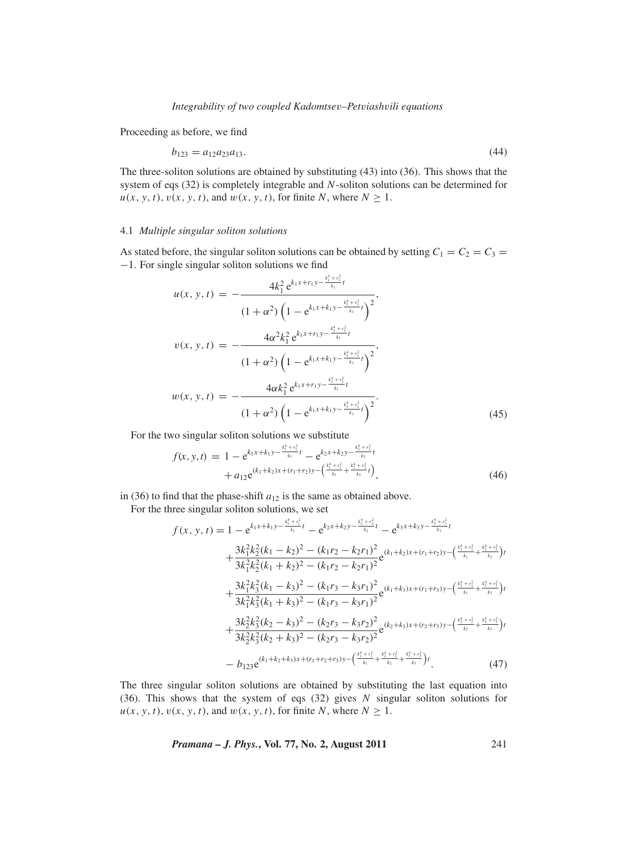Proceeding as before, we find

$$
b_{123} = a_{12}a_{23}a_{13}.\tag{44}
$$

The three-soliton solutions are obtained by substituting (43) into (36). This shows that the system of eqs (32) is completely integrable and *N*-soliton solutions can be determined for  $u(x, y, t), v(x, y, t)$ , and  $w(x, y, t)$ , for finite *N*, where  $N \ge 1$ .

# 4.1 *Multiple singular soliton solutions*

As stated before, the singular soliton solutions can be obtained by setting  $C_1 = C_2 = C_3 =$ −1. For single singular soliton solutions we find

$$
u(x, y, t) = -\frac{4k_1^2 e^{k_1x + r_1y - \frac{k_1^4 + r_1^2}{k_1}t}}{(1 + \alpha^2) \left(1 - e^{k_1x + k_1y - \frac{k_1^4 + r_1^2}{k_1}t}\right)^2},
$$
  
\n
$$
v(x, y, t) = -\frac{4\alpha^2 k_1^2 e^{k_1x + r_1y - \frac{k_1^4 + r_1^2}{k_1}t}}{(1 + \alpha^2) \left(1 - e^{k_1x + k_1y - \frac{k_1^4 + r_1^2}{k_1}t}\right)^2},
$$
  
\n
$$
w(x, y, t) = -\frac{4\alpha k_1^2 e^{k_1x + r_1y - \frac{k_1^4 + r_1^2}{k_1}t}}{(1 + \alpha^2) \left(1 - e^{k_1x + k_1y - \frac{k_1^4 + r_1^2}{k_1}t}\right)^2}.
$$
\n(45)

For the two singular soliton solutions we substitute

$$
f(x, y, t) = 1 - e^{k_1 x + k_1 y - \frac{k_1^4 + r_1^2}{k_1}t} - e^{k_2 x + k_2 y - \frac{k_2^4 + r_2^2}{k_2}t} + a_{12} e^{(k_1 + k_2)x + (r_1 + r_2)y - \left(\frac{k_1^4 + r_1^2}{k_1} + \frac{k_2^4 + r_2^2}{k_2}t\right)},
$$
\n(46)

in (36) to find that the phase-shift  $a_{12}$  is the same as obtained above.

For the three singular soliton solutions, we set

$$
f(x, y, t) = 1 - e^{k_1x + k_1y - \frac{k_1^4 + r_1^2}{k_1}t} - e^{k_2x + k_2y - \frac{k_1^4 + r_2^2}{k_2}t} - e^{k_3x + k_3y - \frac{k_1^4 + r_3^2}{k_3}t} + \frac{3k_1^2k_2^2(k_1 - k_2)^2 - (k_1r_2 - k_2r_1)^2}{3k_1^2k_2^2(k_1 + k_2)^2 - (k_1r_2 - k_2r_1)^2}e^{(k_1 + k_2)x + (r_1 + r_2)y - (\frac{k_1^4 + r_1^2}{k_1} + \frac{k_2^4 + r_2^2}{k_2})t} + \frac{3k_1^2k_3^2(k_1 - k_3)^2 - (k_1r_3 - k_3r_1)^2}{3k_1^2k_3^2(k_1 + k_3)^2 - (k_1r_3 - k_3r_1)^2}e^{(k_1 + k_3)x + (r_1 + r_3)y - (\frac{k_1^4 + r_1^2}{k_1} + \frac{k_3^4 + r_3^2}{k_3})t} + \frac{3k_2^2k_3^2(k_2 - k_3)^2 - (k_2r_3 - k_3r_2)^2}{3k_2^2k_3^2(k_2 + k_3)^2 - (k_2r_3 - k_3r_2)^2}e^{(k_2 + k_3)x + (r_2 + r_3)y - (\frac{k_2^4 + r_2^2}{k_2} + \frac{k_3^4 + r_3^2}{k_3})t} - b_{123}e^{(k_1 + k_2 + k_3)x + (r_1 + r_2 + r_3)y - (\frac{k_1^4 + r_1^2}{k_1} + \frac{k_2^4 + r_2^2}{k_2} + \frac{k_3^4 + r_3^2}{k_3})t}.
$$
\n(47)

The three singular soliton solutions are obtained by substituting the last equation into (36). This shows that the system of eqs (32) gives *N* singular soliton solutions for  $u(x, y, t), v(x, y, t)$ , and  $w(x, y, t)$ , for finite *N*, where  $N \ge 1$ .